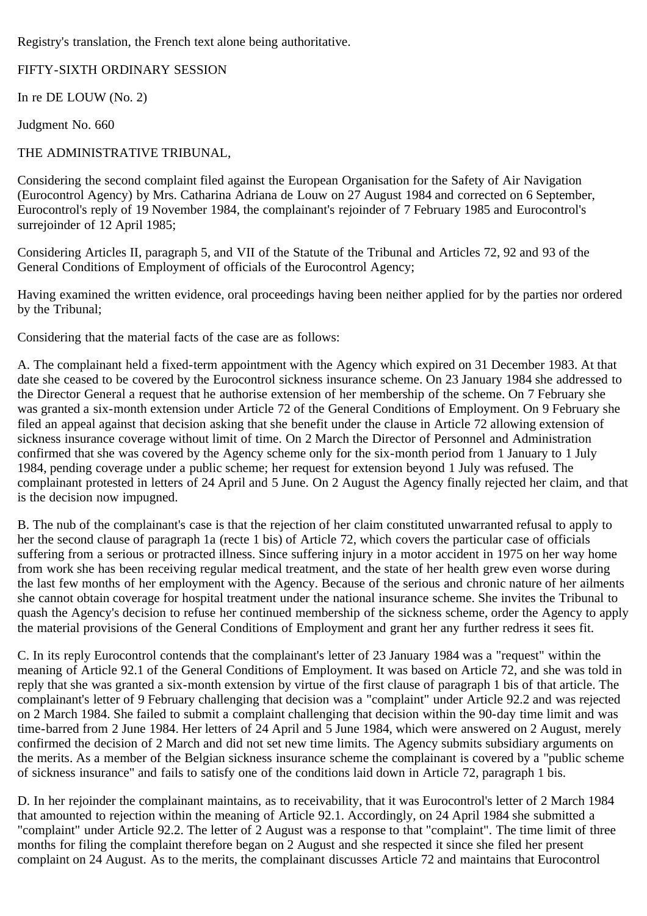Registry's translation, the French text alone being authoritative.

FIFTY-SIXTH ORDINARY SESSION

In re DE LOUW (No. 2)

Judgment No. 660

# THE ADMINISTRATIVE TRIBUNAL,

Considering the second complaint filed against the European Organisation for the Safety of Air Navigation (Eurocontrol Agency) by Mrs. Catharina Adriana de Louw on 27 August 1984 and corrected on 6 September, Eurocontrol's reply of 19 November 1984, the complainant's rejoinder of 7 February 1985 and Eurocontrol's surrejoinder of 12 April 1985;

Considering Articles II, paragraph 5, and VII of the Statute of the Tribunal and Articles 72, 92 and 93 of the General Conditions of Employment of officials of the Eurocontrol Agency;

Having examined the written evidence, oral proceedings having been neither applied for by the parties nor ordered by the Tribunal;

Considering that the material facts of the case are as follows:

A. The complainant held a fixed-term appointment with the Agency which expired on 31 December 1983. At that date she ceased to be covered by the Eurocontrol sickness insurance scheme. On 23 January 1984 she addressed to the Director General a request that he authorise extension of her membership of the scheme. On 7 February she was granted a six-month extension under Article 72 of the General Conditions of Employment. On 9 February she filed an appeal against that decision asking that she benefit under the clause in Article 72 allowing extension of sickness insurance coverage without limit of time. On 2 March the Director of Personnel and Administration confirmed that she was covered by the Agency scheme only for the six-month period from 1 January to 1 July 1984, pending coverage under a public scheme; her request for extension beyond 1 July was refused. The complainant protested in letters of 24 April and 5 June. On 2 August the Agency finally rejected her claim, and that is the decision now impugned.

B. The nub of the complainant's case is that the rejection of her claim constituted unwarranted refusal to apply to her the second clause of paragraph 1a (recte 1 bis) of Article 72, which covers the particular case of officials suffering from a serious or protracted illness. Since suffering injury in a motor accident in 1975 on her way home from work she has been receiving regular medical treatment, and the state of her health grew even worse during the last few months of her employment with the Agency. Because of the serious and chronic nature of her ailments she cannot obtain coverage for hospital treatment under the national insurance scheme. She invites the Tribunal to quash the Agency's decision to refuse her continued membership of the sickness scheme, order the Agency to apply the material provisions of the General Conditions of Employment and grant her any further redress it sees fit.

C. In its reply Eurocontrol contends that the complainant's letter of 23 January 1984 was a "request" within the meaning of Article 92.1 of the General Conditions of Employment. It was based on Article 72, and she was told in reply that she was granted a six-month extension by virtue of the first clause of paragraph 1 bis of that article. The complainant's letter of 9 February challenging that decision was a "complaint" under Article 92.2 and was rejected on 2 March 1984. She failed to submit a complaint challenging that decision within the 90-day time limit and was time-barred from 2 June 1984. Her letters of 24 April and 5 June 1984, which were answered on 2 August, merely confirmed the decision of 2 March and did not set new time limits. The Agency submits subsidiary arguments on the merits. As a member of the Belgian sickness insurance scheme the complainant is covered by a "public scheme of sickness insurance" and fails to satisfy one of the conditions laid down in Article 72, paragraph 1 bis.

D. In her rejoinder the complainant maintains, as to receivability, that it was Eurocontrol's letter of 2 March 1984 that amounted to rejection within the meaning of Article 92.1. Accordingly, on 24 April 1984 she submitted a "complaint" under Article 92.2. The letter of 2 August was a response to that "complaint". The time limit of three months for filing the complaint therefore began on 2 August and she respected it since she filed her present complaint on 24 August. As to the merits, the complainant discusses Article 72 and maintains that Eurocontrol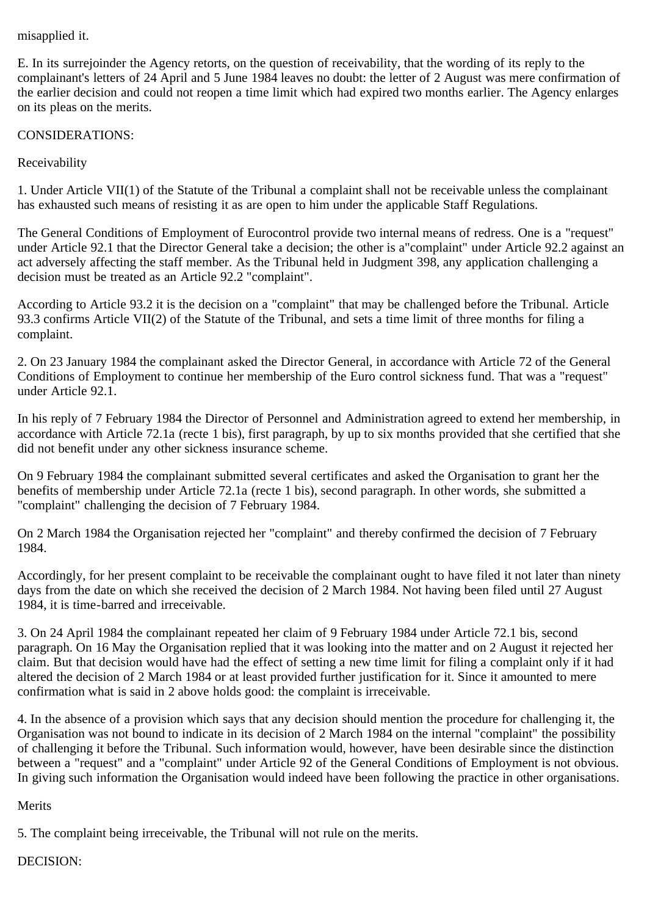### misapplied it.

E. In its surrejoinder the Agency retorts, on the question of receivability, that the wording of its reply to the complainant's letters of 24 April and 5 June 1984 leaves no doubt: the letter of 2 August was mere confirmation of the earlier decision and could not reopen a time limit which had expired two months earlier. The Agency enlarges on its pleas on the merits.

### CONSIDERATIONS:

Receivability

1. Under Article VII(1) of the Statute of the Tribunal a complaint shall not be receivable unless the complainant has exhausted such means of resisting it as are open to him under the applicable Staff Regulations.

The General Conditions of Employment of Eurocontrol provide two internal means of redress. One is a "request" under Article 92.1 that the Director General take a decision; the other is a"complaint" under Article 92.2 against an act adversely affecting the staff member. As the Tribunal held in Judgment 398, any application challenging a decision must be treated as an Article 92.2 "complaint".

According to Article 93.2 it is the decision on a "complaint" that may be challenged before the Tribunal. Article 93.3 confirms Article VII(2) of the Statute of the Tribunal, and sets a time limit of three months for filing a complaint.

2. On 23 January 1984 the complainant asked the Director General, in accordance with Article 72 of the General Conditions of Employment to continue her membership of the Euro control sickness fund. That was a "request" under Article 92.1.

In his reply of 7 February 1984 the Director of Personnel and Administration agreed to extend her membership, in accordance with Article 72.1a (recte 1 bis), first paragraph, by up to six months provided that she certified that she did not benefit under any other sickness insurance scheme.

On 9 February 1984 the complainant submitted several certificates and asked the Organisation to grant her the benefits of membership under Article 72.1a (recte 1 bis), second paragraph. In other words, she submitted a "complaint" challenging the decision of 7 February 1984.

On 2 March 1984 the Organisation rejected her "complaint" and thereby confirmed the decision of 7 February 1984.

Accordingly, for her present complaint to be receivable the complainant ought to have filed it not later than ninety days from the date on which she received the decision of 2 March 1984. Not having been filed until 27 August 1984, it is time-barred and irreceivable.

3. On 24 April 1984 the complainant repeated her claim of 9 February 1984 under Article 72.1 bis, second paragraph. On 16 May the Organisation replied that it was looking into the matter and on 2 August it rejected her claim. But that decision would have had the effect of setting a new time limit for filing a complaint only if it had altered the decision of 2 March 1984 or at least provided further justification for it. Since it amounted to mere confirmation what is said in 2 above holds good: the complaint is irreceivable.

4. In the absence of a provision which says that any decision should mention the procedure for challenging it, the Organisation was not bound to indicate in its decision of 2 March 1984 on the internal "complaint" the possibility of challenging it before the Tribunal. Such information would, however, have been desirable since the distinction between a "request" and a "complaint" under Article 92 of the General Conditions of Employment is not obvious. In giving such information the Organisation would indeed have been following the practice in other organisations.

#### Merits

5. The complaint being irreceivable, the Tribunal will not rule on the merits.

## DECISION: